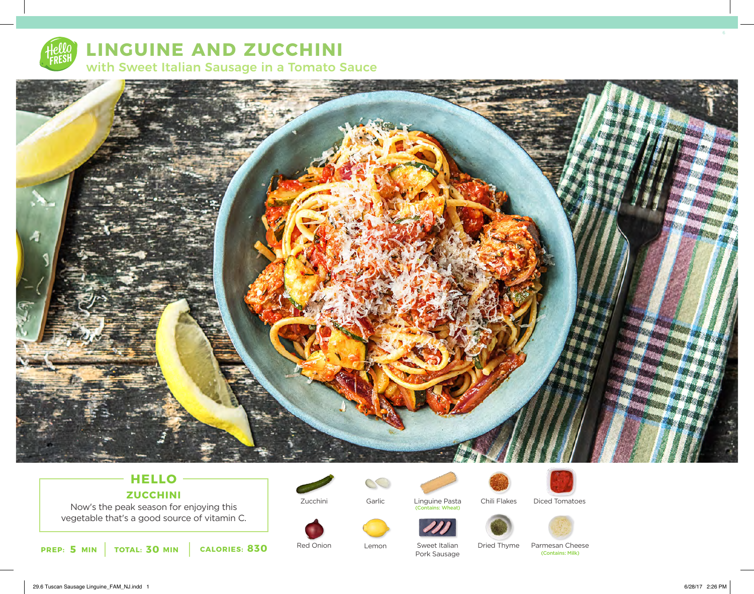

# **LINGUINE AND ZUCCHINI** with Sweet Italian Sausage in a Tomato Sauce



## **HELLO ZUCCHINI**

Now's the peak season for enjoying this vegetable that's a good source of vitamin C.



Zucchini

Red Onion







Pork Sausage

Sweet Italian



Lemon Sweet Italian Dried Thyme Parmesan Cheese<br>Pork Sausage Contains: Milk Dried Thyme